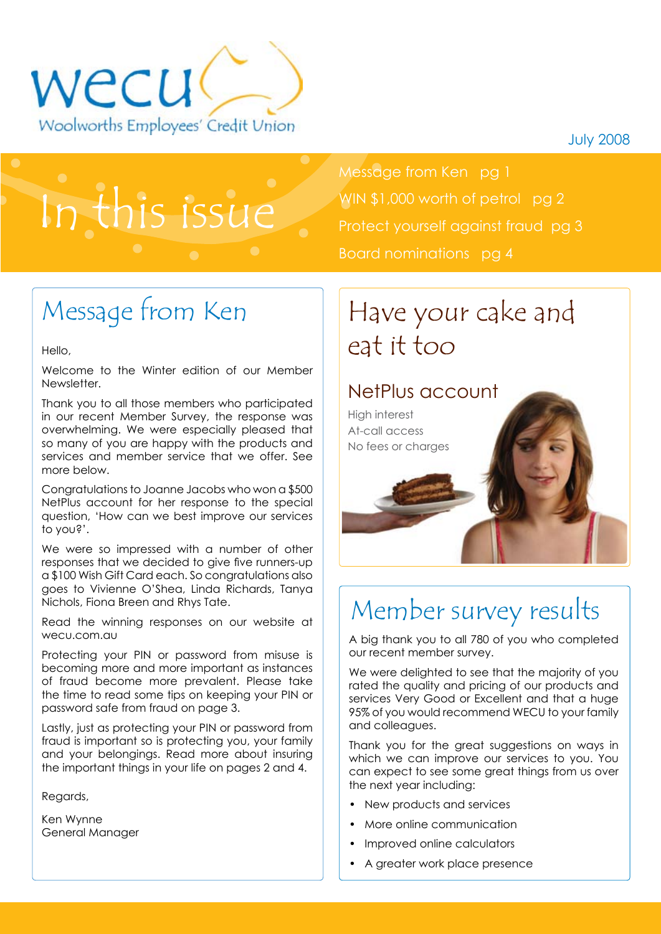



# In this issue

Message from Ken pg 1 WIN \$1,000 worth of petrol pg 2 Protect yourself against fraud pg 3 Board nominations pg 4

# Message from Ken

Hello,

Welcome to the Winter edition of our Member Newsletter.

Thank you to all those members who participated in our recent Member Survey, the response was overwhelming. We were especially pleased that so many of you are happy with the products and services and member service that we offer. See more below.

Congratulations to Joanne Jacobs who won a \$500 NetPlus account for her response to the special question, 'How can we best improve our services to you?'.

We were so impressed with a number of other responses that we decided to give five runners-up a \$100 Wish Gift Card each. So congratulations also goes to Vivienne O'Shea, Linda Richards, Tanya Nichols, Fiona Breen and Rhys Tate.

Read the winning responses on our website at wecu.com.au

Protecting your PIN or password from misuse is becoming more and more important as instances of fraud become more prevalent. Please take the time to read some tips on keeping your PIN or password safe from fraud on page 3.

Lastly, just as protecting your PIN or password from fraud is important so is protecting you, your family and your belongings. Read more about insuring the important things in your life on pages 2 and 4.

Regards,

Ken Wynne General Manager

### Have your cake and eat it too

### NetPlus account



### Member survey results

A big thank you to all 780 of you who completed our recent member survey.

We were delighted to see that the majority of you rated the quality and pricing of our products and services Very Good or Excellent and that a huge 95% of you would recommend WECU to your family and colleagues.

Thank you for the great suggestions on ways in which we can improve our services to you. You can expect to see some great things from us over the next year including:

- New products and services
- More online communication
- Improved online calculators
- A greater work place presence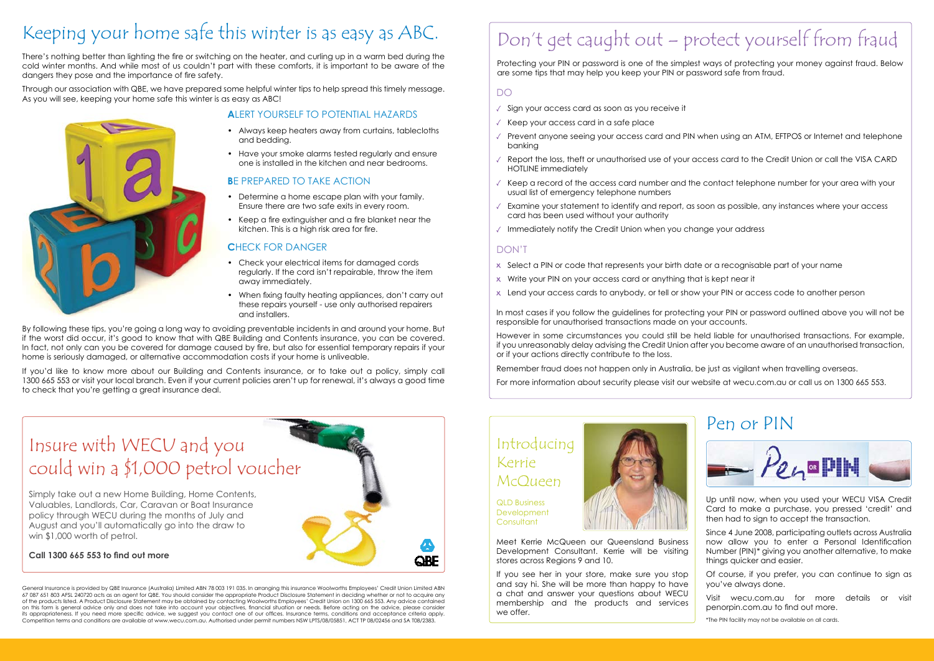## Keeping your home safe this winter is as easy as ABC.

There's nothing better than lighting the fire or switching on the heater, and curling up in a warm bed during the cold winter months. And while most of us couldn't part with these comforts, it is important to be aware of the dangers they pose and the importance of fire safety.

Through our association with QBE, we have prepared some helpful winter tips to help spread this timely message. As you will see, keeping your home safe this winter is as easy as ABC!



### **A**lert yourself to potential hazards

- Always keep heaters away from curtains, tablecloths and bedding.
- Have your smoke alarms tested regularly and ensure one is installed in the kitchen and near bedrooms.

#### **BE PREPARED TO TAKE ACTION**

- Determine a home escape plan with your family. Ensure there are two safe exits in every room.
- Keep a fire extinguisher and a fire blanket near the kitchen. This is a high risk area for fire.

#### **CHECK FOR DANGER**

- Check your electrical items for damaged cords regularly. If the cord isn't repairable, throw the item away immediately.
- When fixing faulty heating appliances, don't carry out these repairs yourself - use only authorised repairers and installers.

By following these tips, you're going a long way to avoiding preventable incidents in and around your home. But if the worst did occur, it's good to know that with QBE Building and Contents insurance, you can be covered. In fact, not only can you be covered for damage caused by fire, but also for essential temporary repairs if your home is seriously damaged, or alternative accommodation costs if your home is unliveable.

If you'd like to know more about our Building and Contents insurance, or to take out a policy, simply call 1300 665 553 or visit your local branch. Even if your current policies aren't up for renewal, it's always a good time to check that you're getting a great insurance deal.



#### **Call 1300 665 553 to find out more**

General Insurance is provided by QBE Insurance (Australia) Limited ABN 78 003 191 035. In arranging this insurance Woolworths Employees' Credit Union Limited ABN 67 087 651 803 AFSL 240720 acts as an agent for QBE. You should consider the appropriate Product Disclosure Statement in deciding whether or not to acquire any of the products listed. A Product Disclosure Statement may be obtained by contacting Woolworths Employees' Credit Union on 1300 665 553. Any advice contained on this form is general advice only and does not take into account your objectives, financial situation or needs. Before acting on the advice, please consider its appropriateness. If you need more specific advice, we suggest you contact one of our offices. Insurance terms, conditions and acceptance criteria apply. Competition terms and conditions are available at www.wecu.com.au. Authorised under permit numbers NSW LPTS/08/05851, ACT TP 08/02456 and SA T08/2383.

QLD Business **Development Consultant** 

**QRF** 



# Don't get caught out – protect yourself from fraud

Protecting your PIN or password is one of the simplest ways of protecting your money against fraud. Below are some tips that may help you keep your PIN or password safe from fraud.

Meet Kerrie McQueen our Queensland Business Development Consultant. Kerrie will be visiting stores across Regions 9 and 10.

If you see her in your store, make sure you stop and say hi. She will be more than happy to have a chat and answer your questions about WECU membership and the products and services we offer.

#### DO

- $\sqrt{ }$  Sign your access card as soon as you receive it
- $\sqrt{ }$  Keep your access card in a safe place
- $\sqrt{ }$  Prevent anyone seeing your access card and PIN when using an ATM, EFTPOS or Internet and telephone banking
- $\sqrt{ }$  Report the loss, theft or unauthorised use of your access card to the Credit Union or call the VISA CARD HOTLINE immediately
- $\sqrt{6}$  Keep a record of the access card number and the contact telephone number for your area with your usual list of emergency telephone numbers
- $\sqrt{ }$  Examine your statement to identify and report, as soon as possible, any instances where your access card has been used without your authority
- $\sqrt{ }$  Immediately notify the Credit Union when you change your address

#### DON'T

- Select a PIN or code that represents your birth date or a recognisable part of your name
- x Write your PIN on your access card or anything that is kept near it
- Lend your access cards to anybody, or tell or show your PIN or access code to another person

In most cases if you follow the guidelines for protecting your PIN or password outlined above you will not be responsible for unauthorised transactions made on your accounts.

However in some circumstances you could still be held liable for unauthorised transactions. For example, if you unreasonably delay advising the Credit Union after you become aware of an unauthorised transaction, or if your actions directly contribute to the loss.

Remember fraud does not happen only in Australia, be just as vigilant when travelling overseas.

For more information about security please visit our website at wecu.com.au or call us on 1300 665 553.

### Introducing Kerrie McQueen

Up until now, when you used your WECU VISA Credit Card to make a purchase, you pressed 'credit' and then had to sign to accept the transaction.

Since 4 June 2008, participating outlets across Australia now allow you to enter a Personal Identification Number (PIN)\* giving you another alternative, to make things quicker and easier.

Of course, if you prefer, you can continue to sign as you've always done.

Visit wecu.com.au for more details or visit penorpin.com.au to find out more.

\*The PIN facility may not be available on all cards.

### Pen or PIN